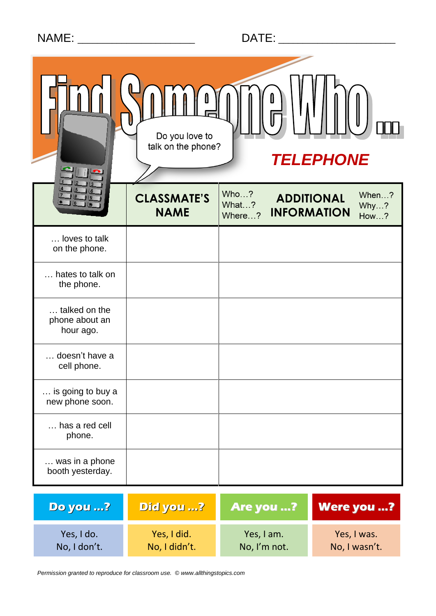|  | <b>NAME</b> |  |
|--|-------------|--|
|  |             |  |
|  |             |  |

| Do you love to<br>talk on the phone?<br><b>TELEPHONE</b> |                                   |                         |                                                                         |  |  |
|----------------------------------------------------------|-----------------------------------|-------------------------|-------------------------------------------------------------------------|--|--|
|                                                          | <b>CLASSMATE'S</b><br><b>NAME</b> | Who?<br>What?<br>Where? | When?<br><b>ADDITIONAL</b><br>Why?<br><b>INFORMATION</b><br><b>How?</b> |  |  |
| . loves to talk<br>on the phone.                         |                                   |                         |                                                                         |  |  |
| hates to talk on<br>the phone.                           |                                   |                         |                                                                         |  |  |
| talked on the<br>phone about an<br>hour ago.             |                                   |                         |                                                                         |  |  |
| doesn't have a<br>cell phone.                            |                                   |                         |                                                                         |  |  |
| is going to buy a<br>new phone soon.                     |                                   |                         |                                                                         |  |  |
| has a red cell<br>phone.                                 |                                   |                         |                                                                         |  |  |
| was in a phone<br>booth yesterday.                       |                                   |                         |                                                                         |  |  |
| <b>Do you ?</b>                                          | Did you ?                         | Are you ?               | Were you ?                                                              |  |  |
| Yes, I do.                                               | Yes, I did.                       | Yes, I am.              | Yes, I was.                                                             |  |  |

No, I didn't.

No, I'm not.

No, I wasn't.

No, I don't.